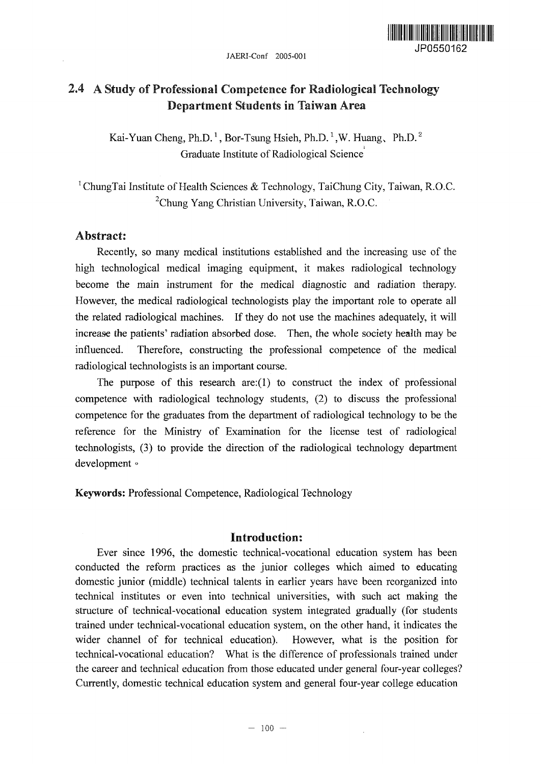JAERI-Conf 2005-001



# 2.4 A Study of Professional Competence for Radiological Technology Department Students in Taiwan Area

Kai-Yuan Cheng, Ph.D.<sup>1</sup>, Bor-Tsung Hsieh, Ph.D.<sup>1</sup>, W. Huang, Ph.D.<sup>2</sup> Graduate Institute of Radiological Science

<sup>1</sup>ChungTai Institute of Health Sciences & Technology, TaiChung City, Taiwan, R.O.C. <sup>2</sup>Chung Yang Christian University, Taiwan, R.O.C.

# Abstract!

Recently, so many medical institutions established and the increasing use of the high technological medical imaging equipment, it makes radiological technology become the main instrument for the medical diagnostic and radiation therapy. However, the medical radiological technologists play the important role to operate all the related radiological machines. If they do not use the machines adequately, it will increase the patients' radiation absorbed dose. Then, the whole society health may be influenced. Therefore, constructing the professional competence of the medical radiological technologists is an important course.

The purpose of this research are: $(1)$  to construct the index of professional competence with radiological technology students, (2) to discuss the professional competence for the graduates from the department of radiological technology to be the reference for the Ministry of Examination for the license test of radiological technologists, (3) to provide the direction of the radiological technology department development °

Keywords'. Professional Competence, Radiological Technology

# Introduction:

Ever since 1996, the domestic technical-vocational education system has been conducted the reform practices as the junior colleges which aimed to educating domestic junior (middle) technical talents in earlier years have been reorganized into technical institutes or even into technical universities, with such act making the structure of technical-vocational education system integrated gradually (for students trained under technical-vocational education system, on the other hand, it indicates the wider channel of for technical education). However, what is the position for technical-vocational education? What is the difference of professionals trained under the career and technical education from those educated under general four-year colleges? Currently, domestic technical education system and general four-year college education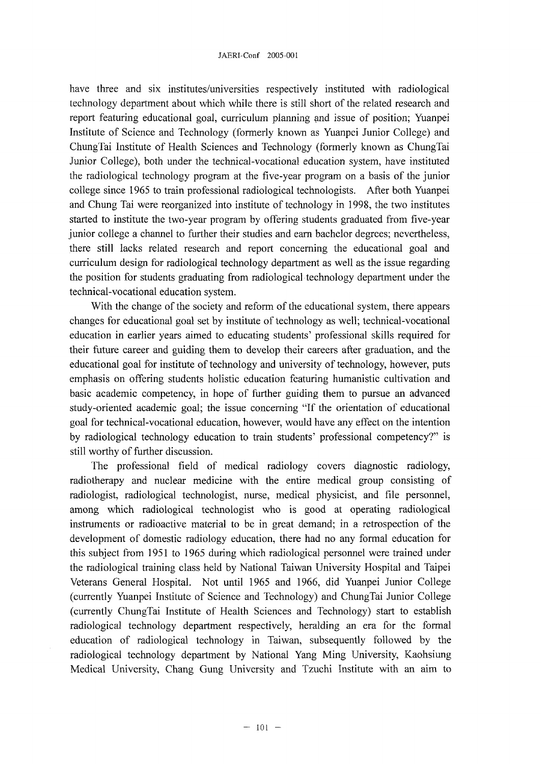### JAERI-Conf 2005-001

have three and six institutes/universities respectively instituted with radiological technology department about which while there is still short of the related research and report featuring educational goal, curriculum planning and issue of position; Yuanpei Institute of Science and Technology (formerly known as Yuanpei Junior College) and ChungTai Institute of Health Sciences and Technology (formerly known as ChungTai Junior College), both under the technical-vocational education system, have instituted the radiological technology program at the five-year program on a basis of the junior college since 1965 to train professional radiological technologists. After both Yuanpei and Chung Tai were reorganized into institute of technology in 1998, the two institutes started to institute the two-year program by offering students graduated from five-year junior college a channel to further their studies and earn bachelor degrees; nevertheless, there still lacks related research and report concerning the educational goal and curriculum design for radiological technology department as well as the issue regarding the position for students graduating from radiological technology department under the technical-vocational education system.

With the change of the society and reform of the educational system, there appears changes for educational goal set by institute of technology as well; technical-vocational education in earlier years aimed to educating students' professional skills required for their future career and guiding them to develop their careers after graduation, and the educational goal for institute of technology and university of technology, however, puts emphasis on offering students holistic education featuring humanistic cultivation and basic academic competency, in hope of further guiding them to pursue an advanced study-oriented academic goal; the issue concerning "If the orientation of educational goal for technical-vocational education, however, would have any effect on the intention by radiological technology education to train students' professional competency?" is still worthy of further discussion.

The professional field of medical radiology covers diagnostic radiology, radiotherapy and nuclear medicine with the entire medical group consisting of radiologist, radiological technologist, nurse, medical physicist, and file personnel, among which radiological technologist who is good at operating radiological instruments or radioactive material to be in great demand; in a retrospection of the development of domestic radiology education, there had no any formal education for this subject from 1951 to 1965 during which radiological personnel were trained under the radiological training class held by National Taiwan University Hospital and Taipei Veterans General Hospital. Not until 1965 and 1966, did Yuanpei Junior College (currently Yuanpei Institute of Science and Technology) and ChungTai Junior College (currently ChungTai Institute of Health Sciences and Technology) start to establish radiological technology department respectively, heralding an era for the formal education of radiological technology in Taiwan, subsequently followed by the radiological technology department by National Yang Ming University, Kaohsiung Medical University, Chang Gung University and Tzuchi Institute with an aim to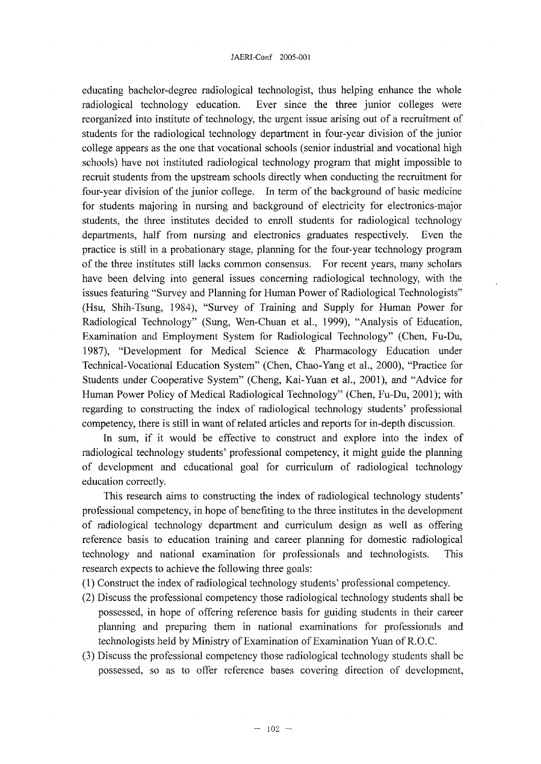educating bachelor-degree radiological technologist, thus helping enhance the whole radiological technology education. Ever since the three junior colleges were reorganized into institute of technology, the urgent issue arising out of a recruitment of students for the radiological technology department in four-year division of the junior college appears as the one that vocational schools (senior industrial and vocational high schools) have not instituted radiological technology program that might impossible to recruit students from the upstream schools directly when conducting the recruitment for four-year division of the junior college. In term of the background of basic medicine for students majoring in nursing and background of electricity for electronics-major students, the three institutes decided to enroll students for radiological technology departments, half from nursing and electronics graduates respectively. Even the practice is still in a probationary stage, planning for the four-year technology program of the three institutes still lacks common consensus. For recent years, many scholars have been delving into general issues concerning radiological technology, with the issues featuring "Survey and Planning for Human Power of Radiological Technologists" (Hsu, Shih-Tsung, 1984), "Survey of Training and Supply for Human Power for Radiological Technology" (Sung, Wen-Chuan et al., 1999), "Analysis of Education, Examination and Employment System for Radiological Technology" (Chen, Fu-Du, 1987), "Development for Medical Science & Pharmacology Education under Technical-Vocational Education System" (Chen, Chao-Yang et al., 2000), "Practice for Students under Cooperative System" (Cheng, Kai-Yuan et al., 2001), and "Advice for Human Power Policy of Medical Radiological Technology" (Chen, Fu-Du, 2001); with regarding to constructing the index of radiological technology students' professional competency, there is still in want of related articles and reports for in-depth discussion.

In sum, if it would be effective to construct and explore into the index of radiological technology students' professional competency, it might guide the planning of development and educational goal for curriculum of radiological technology education correctly.

This research aims to constructing the index of radiological technology students' professional competency, in hope of benefiting to the three institutes in the development of radiological technology department and curriculum design as well as offering reference basis to education training and career planning for domestic radiological technology and national examination for professionals and technologists. This research expects to achieve the following three goals:

- (1) Construct the index of radiological technology students' professional competency.
- (2) Discuss the professional competency those radiological technology students shall be possessed, in hope of offering reference basis for guiding students in their career planning and preparing them in national examinations for professionals and technologists held by Ministry of Examination of Examination Yuan of R.O.C.
- (3) Discuss the professional competency those radiological technology students shall be possessed, so as to offer reference bases covering direction of development,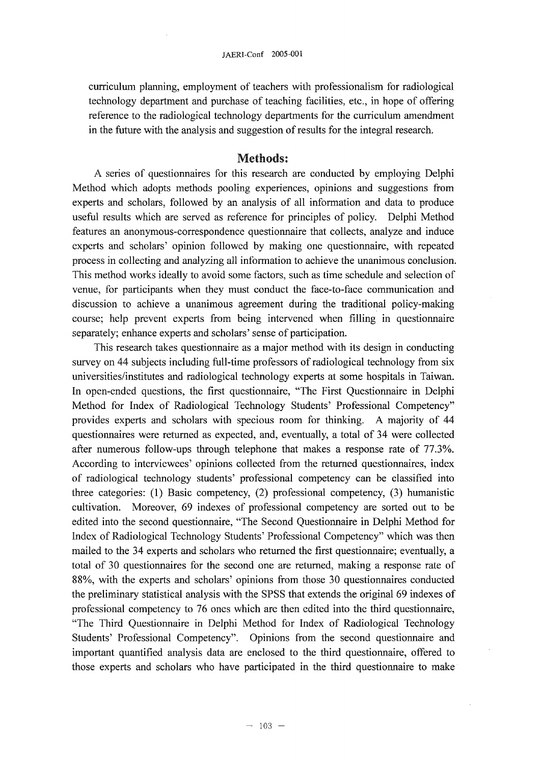curriculum planning, employment of teachers with professionalism for radiological technology department and purchase of teaching facilities, etc., in hope of offering reference to the radiological technology departments for the curriculum amendment in the future with the analysis and suggestion of results for the integral research.

## Methods:

A series of questionnaires for this research are conducted by employing Delphi Method which adopts methods pooling experiences, opinions and suggestions from experts and scholars, followed by an analysis of all information and data to produce useful results which are served as reference for principles of policy. Delphi Method features an anonymous-correspondence questionnaire that collects, analyze and induce experts and scholars' opinion followed by making one questionnaire, with repeated process in collecting and analyzing all information to achieve the unanimous conclusion. This method works ideally to avoid some factors, such as time schedule and selection of venue, for participants when they must conduct the face-to-face communication and discussion to achieve a unanimous agreement during the traditional policy-making course; help prevent experts from being intervened when filling in questionnaire separately; enhance experts and scholars' sense of participation.

This research takes questionnaire as a major method with its design in conducting survey on 44 subjects including full-time professors of radiological technology from six universities/institutes and radiological technology experts at some hospitals in Taiwan. In open-ended questions, the first questionnaire, "The First Questionnaire in Delphi Method for Index of Radiological Technology Students' Professional Competency" provides experts and scholars with specious room for thinking. A majority of 44 questionnaires were returned as expected, and, eventually, a total of 34 were collected after numerous follow-ups through telephone that makes a response rate of 77.3%. According to interviewees' opinions collected from the returned questionnaires, index of radiological technology students' professional competency can be classified into three categories: (1) Basic competency, (2) professional competency, (3) humanistic cultivation. Moreover, 69 indexes of professional competency are sorted out to be edited into the second questionnaire, "The Second Questionnaire in Delphi Method for Index of Radiological Technology Students' Professional Competency" which was then mailed to the 34 experts and scholars who returned the first questionnaire; eventually, a total of 30 questionnaires for the second one are returned, making a response rate of 88%, with the experts and scholars' opinions from those 30 questionnaires conducted the preliminary statistical analysis with the SPSS that extends the original 69 indexes of professional competency to 76 ones which are then edited into the third questionnaire, "The Third Questionnaire in Delphi Method for Index of Radiological Technology Students' Professional Competency". Opinions from the second questionnaire and important quantified analysis data are enclosed to the third questionnaire, offered to those experts and scholars who have participated in the third questionnaire to make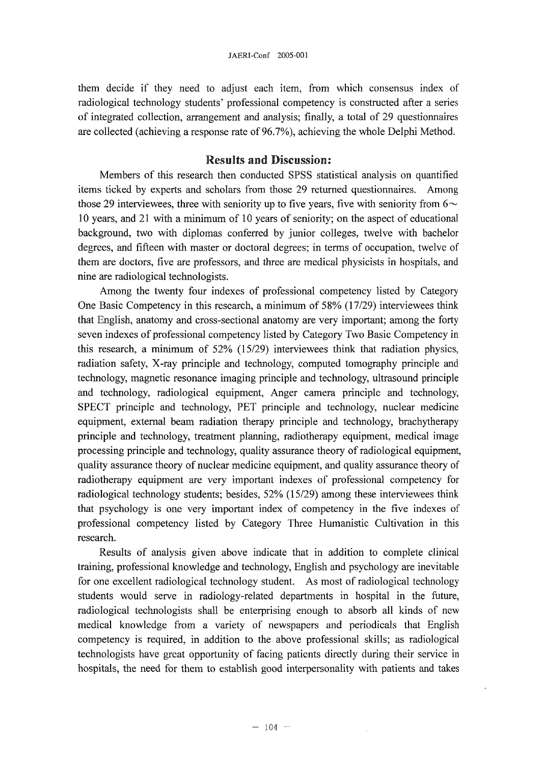#### JAERI-Conf 2005-001

them decide if they need to adjust each item, from which consensus index of radiological technology students' professional competency is constructed after a series of integrated collection, arrangement and analysis; finally, a total of 29 questionnaires are collected (achieving a response rate of 96.7%), achieving the whole Delphi Method.

# Results and Discussion:

Members of this research then conducted SPSS statistical analysis on quantified items ticked by experts and scholars from those 29 returned questionnaires. Among those 29 interviewees, three with seniority up to five years, five with seniority from  $6\sim$ 10 years, and 21 with a minimum of 10 years of seniority; on the aspect of educational background, two with diplomas conferred by junior colleges, twelve with bachelor degrees, and fifteen with master or doctoral degrees; in terms of occupation, twelve of them are doctors, five are professors, and three are medical physicists in hospitals, and nine are radiological technologists.

Among the twenty four indexes of professional competency listed by Category One Basic Competency in this research, a minimum of 58% (17/29) interviewees think that English, anatomy and cross-sectional anatomy are very important; among the forty seven indexes of professional competency listed by Category Two Basic Competency in this research, a minimum of 52% (15/29) interviewees think that radiation physics, radiation safety, X-ray principle and technology, computed tomography principle and technology, magnetic resonance imaging principle and technology, ultrasound principle and technology, radiological equipment, Anger camera principle and technology, SPECT principle and technology, PET principle and technology, nuclear medicine equipment, external beam radiation therapy principle and technology, brachytherapy principle and technology, treatment planning, radiotherapy equipment, medical image processing principle and technology, quality assurance theory of radiological equipment, quality assurance theory of nuclear medicine equipment, and quality assurance theory of radiotherapy equipment are very important indexes of professional competency for radiological technology students; besides, 52% (15/29) among these interviewees think that psychology is one very important index of competency in the five indexes of professional competency listed by Category Three Humanistic Cultivation in this research.

Results of analysis given above indicate that in addition to complete clinical training, professional knowledge and technology, English and psychology are inevitable for one excellent radiological technology student. As most of radiological technology students would serve in radiology-related departments in hospital in the future, radiological technologists shall be enterprising enough to absorb all kinds of new medical knowledge from a variety of newspapers and periodicals that English competency is required, in addition to the above professional skills; as radiological technologists have great opportunity of facing patients directly during their service in hospitals, the need for them to establish good interpersonality with patients and takes